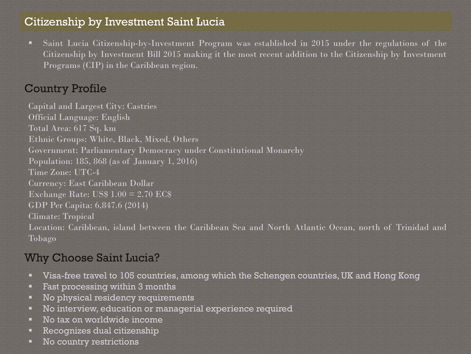## Citizenship by Investment Saint Lucia

Saint Lucia Citizenship-by-Investment Program was established in 2015 under the regulations of the Citizenship by Investment Bill 2015 making it the most recent addition to the Citizenship by Investment Programs (CIP) in the Caribbean region.

# Country Profile

Capital and Largest City: Castries Official Language: English Total Area: 617 Sq. km Ethnic Groups: White, Black, Mixed, Others Government: Parliamentary Democracy under Constitutional Monarchy Population: 185, 868 (as of January 1, 2016) Time Zone: UTC-4 Currency: East Caribbean Dollar Exchange Rate: US\$ 1.00 = 2.70 EC\$ GDP Per Capita: 6,847.6 (2014) Climate: Tropical Location: Caribbean, island between the Caribbean Sea and North Atlantic Ocean, north of Trinidad and Tobago

## Why Choose Saint Lucia?

- Visa-free travel to 105 countries, among which the Schengen countries, UK and Hong Kong
- **Fast processing within 3 months**
- No physical residency requirements
- No interview, education or managerial experience required
- No tax on worldwide income
- Recognizes dual citizenship
- No country restrictions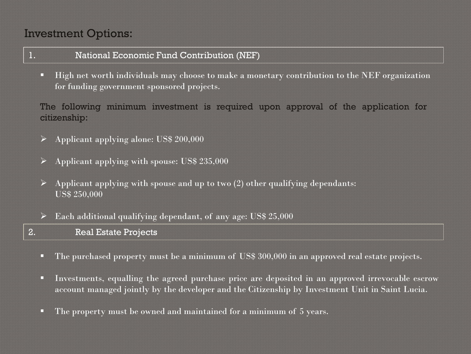## Investment Options:

## 1. National Economic Fund Contribution (NEF)

**High net worth individuals may choose to make a monetary contribution to the NEF organization** for funding government sponsored projects.

The following minimum investment is required upon approval of the application for citizenship:

- $\triangleright$  Applicant applying alone: US\$ 200,000
- $\triangleright$  Applicant applying with spouse: US\$ 235,000
- $\triangleright$  Applicant applying with spouse and up to two (2) other qualifying dependants: US\$ 250,000
- $\triangleright$  Each additional qualifying dependant, of any age: US\$ 25,000
- 2. Real Estate Projects
	- The purchased property must be a minimum of US\$ 300,000 in an approved real estate projects.
	- Investments, equalling the agreed purchase price are deposited in an approved irrevocable escrow account managed jointly by the developer and the Citizenship by Investment Unit in Saint Lucia.
	- The property must be owned and maintained for a minimum of 5 years.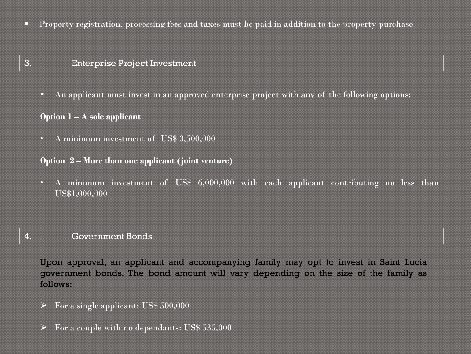**Property registration, processing fees and taxes must be paid in addition to the property purchase.** 

### 3. Enterprise Project Investment

An applicant must invest in an approved enterprise project with any of the following options:

### **Option 1 – A sole applicant**

• A minimum investment of US\$ 3,500,000

### **Option 2 – More than one applicant (joint venture)**

• A minimum investment of US\$ 6,000,000 with each applicant contributing no less than US\$1,000,000

### 4. Government Bonds

Upon approval, an applicant and accompanying family may opt to invest in Saint Lucia government bonds. The bond amount will vary depending on the size of the family as follows:

- $\triangleright$  For a single applicant: US\$ 500,000
- $\triangleright$  For a couple with no dependants: US\$ 535,000